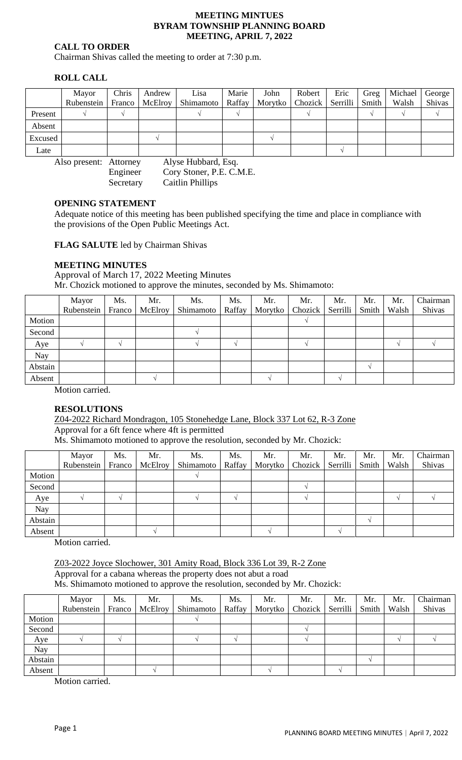#### **MEETING MINTUES BYRAM TOWNSHIP PLANNING BOARD MEETING, APRIL 7, 2022**

# **CALL TO ORDER**

Chairman Shivas called the meeting to order at 7:30 p.m.

# **ROLL CALL**

|         | Mayor      | Chris | Andrew           | Lisa               | Marie | John                         | Robert | Eric | Greg  | Michael George |        |
|---------|------------|-------|------------------|--------------------|-------|------------------------------|--------|------|-------|----------------|--------|
|         | Rubenstein |       | Franco   McElroy | Shimamoto   Raffay |       | Morytko   Chozick   Serrilli |        |      | Smith | Walsh          | Shivas |
| Present |            |       |                  |                    |       |                              |        |      |       |                |        |
| Absent  |            |       |                  |                    |       |                              |        |      |       |                |        |
| Excused |            |       |                  |                    |       |                              |        |      |       |                |        |
| Late    |            |       |                  |                    |       |                              |        |      |       |                |        |

Also present: Attorney Alyse Hubbard, Esq. Engineer Cory Stoner, P.E. C.M.E. Secretary Caitlin Phillips

### **OPENING STATEMENT**

Adequate notice of this meeting has been published specifying the time and place in compliance with the provisions of the Open Public Meetings Act.

**FLAG SALUTE** led by Chairman Shivas

### **MEETING MINUTES**

Approval of March 17, 2022 Meeting Minutes Mr. Chozick motioned to approve the minutes, seconded by Ms. Shimamoto:

|         | Mayor      | Ms.    | Mr.     | Ms.       | Ms.    | Mr.     | Mr.     | Mr.      | Mr.   | Mr.   | Chairman |
|---------|------------|--------|---------|-----------|--------|---------|---------|----------|-------|-------|----------|
|         | Rubenstein | Franco | McElroy | Shimamoto | Raffay | Morytko | Chozick | Serrilli | Smith | Walsh | Shivas   |
| Motion  |            |        |         |           |        |         |         |          |       |       |          |
| Second  |            |        |         |           |        |         |         |          |       |       |          |
| Aye     |            |        |         |           | $\sim$ |         |         |          |       |       |          |
| Nay     |            |        |         |           |        |         |         |          |       |       |          |
| Abstain |            |        |         |           |        |         |         |          |       |       |          |
| Absent  |            |        |         |           |        |         |         |          |       |       |          |

Motion carried.

### **RESOLUTIONS**

Z04-2022 Richard Mondragon, 105 Stonehedge Lane, Block 337 Lot 62, R-3 Zone Approval for a 6ft fence where 4ft is permitted

Ms. Shimamoto motioned to approve the resolution, seconded by Mr. Chozick:

|         | Mayor<br>Rubenstein | Ms.<br>Franco | Mr.<br>McElroy | Ms.<br>Shimamoto | Ms.<br>Raffay | Mr. | Mr.<br>Morytko   Chozick | Mr.<br>Serrilli | Mr.<br>Smith | Mr.<br>Walsh | Chairman<br>Shivas |
|---------|---------------------|---------------|----------------|------------------|---------------|-----|--------------------------|-----------------|--------------|--------------|--------------------|
| Motion  |                     |               |                |                  |               |     |                          |                 |              |              |                    |
| Second  |                     |               |                |                  |               |     |                          |                 |              |              |                    |
| Aye     |                     |               |                |                  |               |     |                          |                 |              |              |                    |
| Nay     |                     |               |                |                  |               |     |                          |                 |              |              |                    |
| Abstain |                     |               |                |                  |               |     |                          |                 |              |              |                    |
| Absent  |                     |               |                |                  |               |     |                          |                 |              |              |                    |

Motion carried.

Z03-2022 Joyce Slochower, 301 Amity Road, Block 336 Lot 39, R-2 Zone Approval for a cabana whereas the property does not abut a road Ms. Shimamoto motioned to approve the resolution, seconded by Mr. Chozick:

|         | Mayor<br>Rubenstein   Franco | Ms. | Mr. | Ms.<br>McElroy   Shimamoto | Ms. | Mr.<br>Raffay   Morytko   Chozick   Serrilli   Smith   Walsh | Mr. | Mr. | Mr. | Mr. | Chairman<br>Shivas |
|---------|------------------------------|-----|-----|----------------------------|-----|--------------------------------------------------------------|-----|-----|-----|-----|--------------------|
| Motion  |                              |     |     |                            |     |                                                              |     |     |     |     |                    |
| Second  |                              |     |     |                            |     |                                                              |     |     |     |     |                    |
| Aye     |                              |     |     |                            |     |                                                              |     |     |     |     |                    |
| Nay     |                              |     |     |                            |     |                                                              |     |     |     |     |                    |
| Abstain |                              |     |     |                            |     |                                                              |     |     |     |     |                    |
| Absent  |                              |     |     |                            |     |                                                              |     |     |     |     |                    |

Motion carried.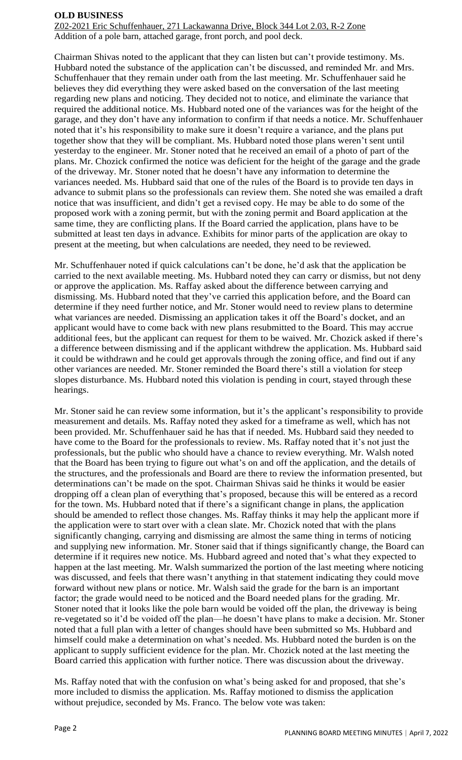### **OLD BUSINESS**

Z02-2021 Eric Schuffenhauer, 271 Lackawanna Drive, Block 344 Lot 2.03, R-2 Zone Addition of a pole barn, attached garage, front porch, and pool deck.

Chairman Shivas noted to the applicant that they can listen but can't provide testimony. Ms. Hubbard noted the substance of the application can't be discussed, and reminded Mr. and Mrs. Schuffenhauer that they remain under oath from the last meeting. Mr. Schuffenhauer said he believes they did everything they were asked based on the conversation of the last meeting regarding new plans and noticing. They decided not to notice, and eliminate the variance that required the additional notice. Ms. Hubbard noted one of the variances was for the height of the garage, and they don't have any information to confirm if that needs a notice. Mr. Schuffenhauer noted that it's his responsibility to make sure it doesn't require a variance, and the plans put together show that they will be compliant. Ms. Hubbard noted those plans weren't sent until yesterday to the engineer. Mr. Stoner noted that he received an email of a photo of part of the plans. Mr. Chozick confirmed the notice was deficient for the height of the garage and the grade of the driveway. Mr. Stoner noted that he doesn't have any information to determine the variances needed. Ms. Hubbard said that one of the rules of the Board is to provide ten days in advance to submit plans so the professionals can review them. She noted she was emailed a draft notice that was insufficient, and didn't get a revised copy. He may be able to do some of the proposed work with a zoning permit, but with the zoning permit and Board application at the same time, they are conflicting plans. If the Board carried the application, plans have to be submitted at least ten days in advance. Exhibits for minor parts of the application are okay to present at the meeting, but when calculations are needed, they need to be reviewed.

Mr. Schuffenhauer noted if quick calculations can't be done, he'd ask that the application be carried to the next available meeting. Ms. Hubbard noted they can carry or dismiss, but not deny or approve the application. Ms. Raffay asked about the difference between carrying and dismissing. Ms. Hubbard noted that they've carried this application before, and the Board can determine if they need further notice, and Mr. Stoner would need to review plans to determine what variances are needed. Dismissing an application takes it off the Board's docket, and an applicant would have to come back with new plans resubmitted to the Board. This may accrue additional fees, but the applicant can request for them to be waived. Mr. Chozick asked if there's a difference between dismissing and if the applicant withdrew the application. Ms. Hubbard said it could be withdrawn and he could get approvals through the zoning office, and find out if any other variances are needed. Mr. Stoner reminded the Board there's still a violation for steep slopes disturbance. Ms. Hubbard noted this violation is pending in court, stayed through these hearings.

Mr. Stoner said he can review some information, but it's the applicant's responsibility to provide measurement and details. Ms. Raffay noted they asked for a timeframe as well, which has not been provided. Mr. Schuffenhauer said he has that if needed. Ms. Hubbard said they needed to have come to the Board for the professionals to review. Ms. Raffay noted that it's not just the professionals, but the public who should have a chance to review everything. Mr. Walsh noted that the Board has been trying to figure out what's on and off the application, and the details of the structures, and the professionals and Board are there to review the information presented, but determinations can't be made on the spot. Chairman Shivas said he thinks it would be easier dropping off a clean plan of everything that's proposed, because this will be entered as a record for the town. Ms. Hubbard noted that if there's a significant change in plans, the application should be amended to reflect those changes. Ms. Raffay thinks it may help the applicant more if the application were to start over with a clean slate. Mr. Chozick noted that with the plans significantly changing, carrying and dismissing are almost the same thing in terms of noticing and supplying new information. Mr. Stoner said that if things significantly change, the Board can determine if it requires new notice. Ms. Hubbard agreed and noted that's what they expected to happen at the last meeting. Mr. Walsh summarized the portion of the last meeting where noticing was discussed, and feels that there wasn't anything in that statement indicating they could move forward without new plans or notice. Mr. Walsh said the grade for the barn is an important factor; the grade would need to be noticed and the Board needed plans for the grading. Mr. Stoner noted that it looks like the pole barn would be voided off the plan, the driveway is being re-vegetated so it'd be voided off the plan—he doesn't have plans to make a decision. Mr. Stoner noted that a full plan with a letter of changes should have been submitted so Ms. Hubbard and himself could make a determination on what's needed. Ms. Hubbard noted the burden is on the applicant to supply sufficient evidence for the plan. Mr. Chozick noted at the last meeting the Board carried this application with further notice. There was discussion about the driveway.

Ms. Raffay noted that with the confusion on what's being asked for and proposed, that she's more included to dismiss the application. Ms. Raffay motioned to dismiss the application without prejudice, seconded by Ms. Franco. The below vote was taken: